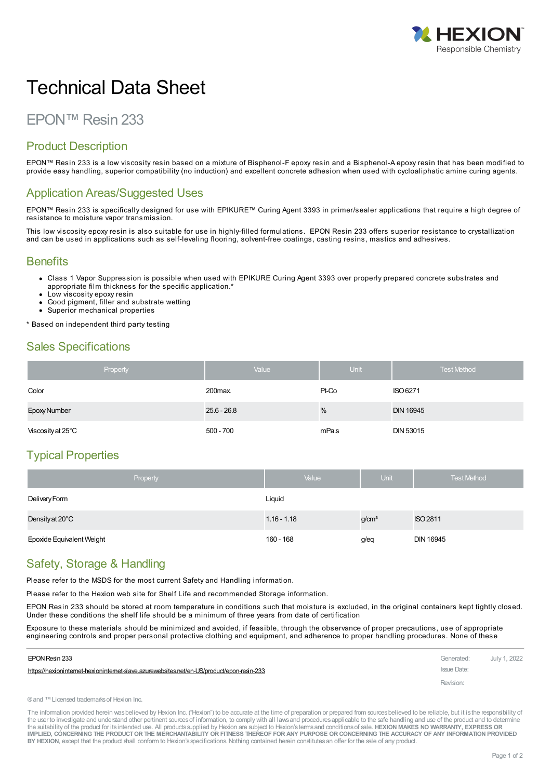

# Technical Data Sheet

# EPON™ Resin 233

#### Product Description

EPON™ Resin 233 is a low viscosity resin based on a mixture of Bisphenol-F epoxy resin and a Bisphenol-A epoxy resin that has been modified to provide easy handling, superior compatibility (no induction) and excellent concrete adhesion when used with cycloaliphatic amine curing agents.

#### Application Areas/Suggested Uses

EPON™ Resin 233 is specifically designed for use with EPIKURE™ Curing Agent 3393 in primer/sealer applications that require a high degree of resistance to moisture vapor transmission.

This low viscosity epoxy resin is also suitable for use in highly-filled formulations. EPON Resin 233 offers superior resistance to crystallization and can be used in applications such as self-leveling flooring, solvent-free coatings, casting resins, mastics and adhesives.

#### **Benefits**

- Class 1 Vapor Suppression is possible when used with EPIKURE Curing Agent 3393 over properly prepared concrete substrates and appropriate film thickness for the specific application.<sup>\*</sup>
- Low viscosity epoxy resin
- Good pigment, filler and substrate wetting
- Superior mechanical properties

\* Based on independent third party testing

#### Sales Specifications

| Property          | Value              | <b>Unit</b> | <b>Test Method</b> |
|-------------------|--------------------|-------------|--------------------|
| Color             | 200 <sub>max</sub> | Pt-Co       | ISO 6271           |
| Epoxy Number      | $25.6 - 26.8$      | %           | <b>DIN 16945</b>   |
| Viscosity at 25°C | $500 - 700$        | mPa.s       | <b>DIN 53015</b>   |

# Typical Properties

| Property                  | Value         | Unit              | <b>Test Method</b> |
|---------------------------|---------------|-------------------|--------------------|
| Delivery Form             | Liquid        |                   |                    |
| Density at 20°C           | $1.16 - 1.18$ | g/cm <sup>3</sup> | ISO 2811           |
| Epoxide Equivalent Weight | 160 - 168     | g/eq              | <b>DIN 16945</b>   |

#### Safety, Storage & Handling

Please refer to the MSDS for the most current Safety and Handling information.

Please refer to the Hexion web site for Shelf Life and recommended Storage information.

EPON Resin 233 should be stored at room temperature in conditions such that moisture is excluded, in the original containers kept tightly closed. Under these conditions the shelf life should be a minimum of three years from date of certification

Exposure to these materials should be minimized and avoided, if feasible, through the observance of proper precautions, use of appropriate engineering controls and proper personal protective clothing and equipment, and adherence to proper handling procedures. None of these

| EPON Resin 233                                                                             | Generated:  | July 1, 2022 |
|--------------------------------------------------------------------------------------------|-------------|--------------|
| https://hexioninternet-hexioninternet-slave.azurewebsites.net/en-US/product/epon-resin-233 | Issue Date: |              |
|                                                                                            | Revision:   |              |

®and ™Licensed trademarksof Hexion Inc.

The information provided herein was believed by Hexion Inc. ("Hexion") to be accurate at the time of preparation or prepared from sources believed to be reliable, but it is the responsibility of the user to investigate and understand other pertinent sources of information, to comply with all laws and procedures applicable to the safe handling and use of the product and to determine the suitability of the product for itsintended use. All productssupplied by Hexion are subject to Hexion'stermsand conditionsof sale. **HEXION MAKES NO WARRANTY, EXPRESS OR** IMPLIED, CONCERNING THE PRODUCT OR THE MERCHANTABILITY OR FITNESS THEREOF FOR ANY PURPOSE OR CONCERNING THE ACCURACY OF ANY INFORMATION PROVIDED **BY HEXION**, except that the product shall conform to Hexion'sspecifications. Nothing contained herein constitutesan offer for the sale of any product.